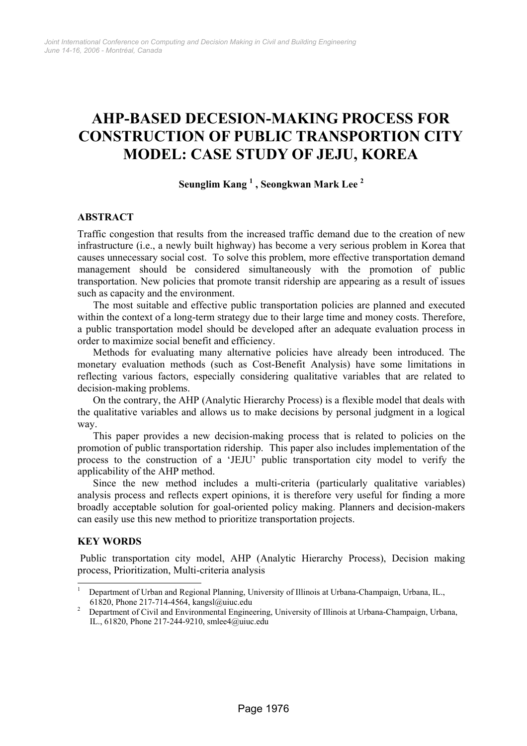# **AHP-BASED DECESION-MAKING PROCESS FOR CONSTRUCTION OF PUBLIC TRANSPORTION CITY MODEL: CASE STUDY OF JEJU, KOREA**

## **Seunglim Kang 1 , Seongkwan Mark Lee 2**

## **ABSTRACT**

Traffic congestion that results from the increased traffic demand due to the creation of new infrastructure (i.e., a newly built highway) has become a very serious problem in Korea that causes unnecessary social cost. To solve this problem, more effective transportation demand management should be considered simultaneously with the promotion of public transportation. New policies that promote transit ridership are appearing as a result of issues such as capacity and the environment.

The most suitable and effective public transportation policies are planned and executed within the context of a long-term strategy due to their large time and money costs. Therefore, a public transportation model should be developed after an adequate evaluation process in order to maximize social benefit and efficiency.

Methods for evaluating many alternative policies have already been introduced. The monetary evaluation methods (such as Cost-Benefit Analysis) have some limitations in reflecting various factors, especially considering qualitative variables that are related to decision-making problems.

On the contrary, the AHP (Analytic Hierarchy Process) is a flexible model that deals with the qualitative variables and allows us to make decisions by personal judgment in a logical way.

This paper provides a new decision-making process that is related to policies on the promotion of public transportation ridership. This paper also includes implementation of the process to the construction of a 'JEJU' public transportation city model to verify the applicability of the AHP method.

Since the new method includes a multi-criteria (particularly qualitative variables) analysis process and reflects expert opinions, it is therefore very useful for finding a more broadly acceptable solution for goal-oriented policy making. Planners and decision-makers can easily use this new method to prioritize transportation projects.

#### **KEY WORDS**

 $\overline{a}$ 

Public transportation city model, AHP (Analytic Hierarchy Process), Decision making process, Prioritization, Multi-criteria analysis

<sup>1</sup> Department of Urban and Regional Planning, University of Illinois at Urbana-Champaign, Urbana, IL., 61820, Phone 217-714-4564, kangsl@uiuc.edu 2

Department of Civil and Environmental Engineering, University of Illinois at Urbana-Champaign, Urbana, IL., 61820, Phone 217-244-9210, smlee4@uiuc.edu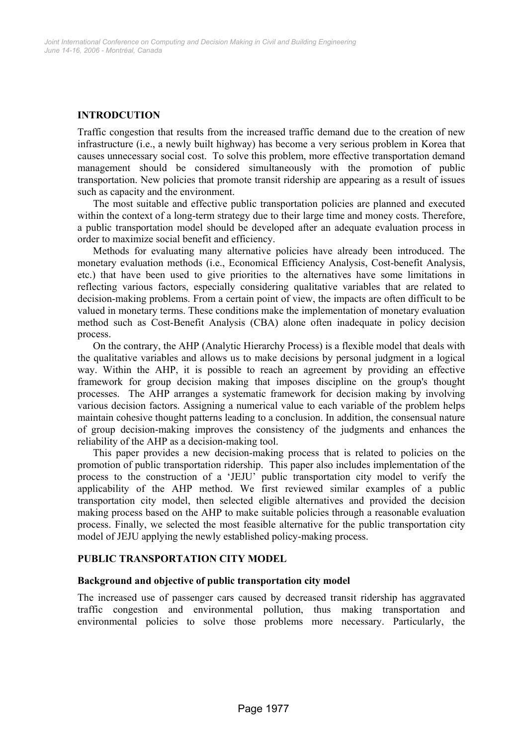## **INTRODCUTION**

Traffic congestion that results from the increased traffic demand due to the creation of new infrastructure (i.e., a newly built highway) has become a very serious problem in Korea that causes unnecessary social cost. To solve this problem, more effective transportation demand management should be considered simultaneously with the promotion of public transportation. New policies that promote transit ridership are appearing as a result of issues such as capacity and the environment.

The most suitable and effective public transportation policies are planned and executed within the context of a long-term strategy due to their large time and money costs. Therefore, a public transportation model should be developed after an adequate evaluation process in order to maximize social benefit and efficiency.

Methods for evaluating many alternative policies have already been introduced. The monetary evaluation methods (i.e., Economical Efficiency Analysis, Cost-benefit Analysis, etc.) that have been used to give priorities to the alternatives have some limitations in reflecting various factors, especially considering qualitative variables that are related to decision-making problems. From a certain point of view, the impacts are often difficult to be valued in monetary terms. These conditions make the implementation of monetary evaluation method such as Cost-Benefit Analysis (CBA) alone often inadequate in policy decision process.

On the contrary, the AHP (Analytic Hierarchy Process) is a flexible model that deals with the qualitative variables and allows us to make decisions by personal judgment in a logical way. Within the AHP, it is possible to reach an agreement by providing an effective framework for group decision making that imposes discipline on the group's thought processes. The AHP arranges a systematic framework for decision making by involving various decision factors. Assigning a numerical value to each variable of the problem helps maintain cohesive thought patterns leading to a conclusion. In addition, the consensual nature of group decision-making improves the consistency of the judgments and enhances the reliability of the AHP as a decision-making tool.

This paper provides a new decision-making process that is related to policies on the promotion of public transportation ridership. This paper also includes implementation of the process to the construction of a 'JEJU' public transportation city model to verify the applicability of the AHP method. We first reviewed similar examples of a public transportation city model, then selected eligible alternatives and provided the decision making process based on the AHP to make suitable policies through a reasonable evaluation process. Finally, we selected the most feasible alternative for the public transportation city model of JEJU applying the newly established policy-making process.

## **PUBLIC TRANSPORTATION CITY MODEL**

#### **Background and objective of public transportation city model**

The increased use of passenger cars caused by decreased transit ridership has aggravated traffic congestion and environmental pollution, thus making transportation and environmental policies to solve those problems more necessary. Particularly, the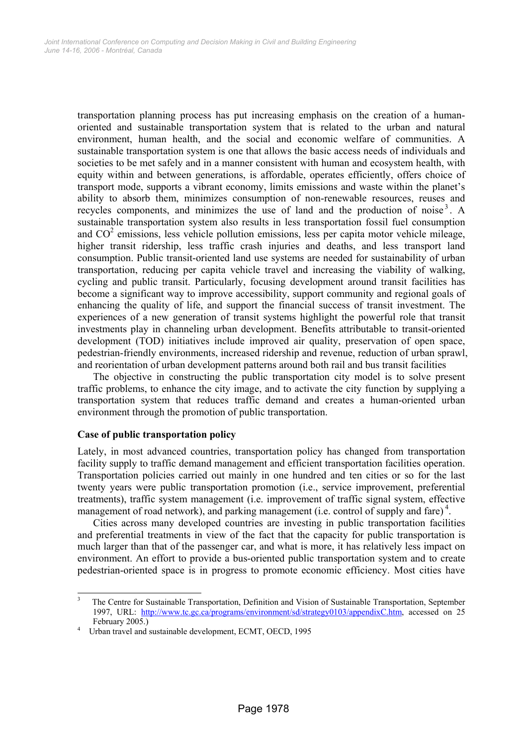transportation planning process has put increasing emphasis on the creation of a humanoriented and sustainable transportation system that is related to the urban and natural environment, human health, and the social and economic welfare of communities. A sustainable transportation system is one that allows the basic access needs of individuals and societies to be met safely and in a manner consistent with human and ecosystem health, with equity within and between generations, is affordable, operates efficiently, offers choice of transport mode, supports a vibrant economy, limits emissions and waste within the planet's ability to absorb them, minimizes consumption of non-renewable resources, reuses and recycles components, and minimizes the use of land and the production of noise<sup>3</sup>. A sustainable transportation system also results in less transportation fossil fuel consumption and  $CO<sup>2</sup>$  emissions, less vehicle pollution emissions, less per capita motor vehicle mileage, higher transit ridership, less traffic crash injuries and deaths, and less transport land consumption. Public transit-oriented land use systems are needed for sustainability of urban transportation, reducing per capita vehicle travel and increasing the viability of walking, cycling and public transit. Particularly, focusing development around transit facilities has become a significant way to improve accessibility, support community and regional goals of enhancing the quality of life, and support the financial success of transit investment. The experiences of a new generation of transit systems highlight the powerful role that transit investments play in channeling urban development. Benefits attributable to transit-oriented development (TOD) initiatives include improved air quality, preservation of open space, pedestrian-friendly environments, increased ridership and revenue, reduction of urban sprawl, and reorientation of urban development patterns around both rail and bus transit facilities

The objective in constructing the public transportation city model is to solve present traffic problems, to enhance the city image, and to activate the city function by supplying a transportation system that reduces traffic demand and creates a human-oriented urban environment through the promotion of public transportation.

## **Case of public transportation policy**

Lately, in most advanced countries, transportation policy has changed from transportation facility supply to traffic demand management and efficient transportation facilities operation. Transportation policies carried out mainly in one hundred and ten cities or so for the last twenty years were public transportation promotion (i.e., service improvement, preferential treatments), traffic system management (i.e. improvement of traffic signal system, effective management of road network), and parking management (i.e. control of supply and fare) $4$ .

Cities across many developed countries are investing in public transportation facilities and preferential treatments in view of the fact that the capacity for public transportation is much larger than that of the passenger car, and what is more, it has relatively less impact on environment. An effort to provide a bus-oriented public transportation system and to create pedestrian-oriented space is in progress to promote economic efficiency. Most cities have

 3 The Centre for Sustainable Transportation, Definition and Vision of Sustainable Transportation, September 1997, URL: http://www.tc.gc.ca/programs/environment/sd/strategy0103/appendixC.htm, accessed on 25 February 2005.)

Urban travel and sustainable development, ECMT, OECD, 1995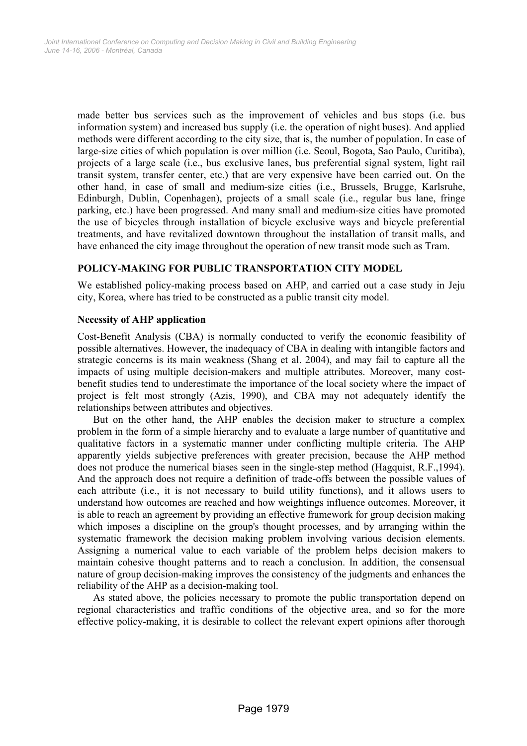made better bus services such as the improvement of vehicles and bus stops (i.e. bus information system) and increased bus supply (i.e. the operation of night buses). And applied methods were different according to the city size, that is, the number of population. In case of large-size cities of which population is over million (i.e. Seoul, Bogota, Sao Paulo, Curitiba), projects of a large scale (i.e., bus exclusive lanes, bus preferential signal system, light rail transit system, transfer center, etc.) that are very expensive have been carried out. On the other hand, in case of small and medium-size cities (i.e., Brussels, Brugge, Karlsruhe, Edinburgh, Dublin, Copenhagen), projects of a small scale (i.e., regular bus lane, fringe parking, etc.) have been progressed. And many small and medium-size cities have promoted the use of bicycles through installation of bicycle exclusive ways and bicycle preferential treatments, and have revitalized downtown throughout the installation of transit malls, and have enhanced the city image throughout the operation of new transit mode such as Tram.

## **POLICY-MAKING FOR PUBLIC TRANSPORTATION CITY MODEL**

We established policy-making process based on AHP, and carried out a case study in Jeju city, Korea, where has tried to be constructed as a public transit city model.

#### **Necessity of AHP application**

Cost-Benefit Analysis (CBA) is normally conducted to verify the economic feasibility of possible alternatives. However, the inadequacy of CBA in dealing with intangible factors and strategic concerns is its main weakness (Shang et al. 2004), and may fail to capture all the impacts of using multiple decision-makers and multiple attributes. Moreover, many costbenefit studies tend to underestimate the importance of the local society where the impact of project is felt most strongly (Azis, 1990), and CBA may not adequately identify the relationships between attributes and objectives.

But on the other hand, the AHP enables the decision maker to structure a complex problem in the form of a simple hierarchy and to evaluate a large number of quantitative and qualitative factors in a systematic manner under conflicting multiple criteria. The AHP apparently yields subjective preferences with greater precision, because the AHP method does not produce the numerical biases seen in the single-step method (Hagquist, R.F.,1994). And the approach does not require a definition of trade-offs between the possible values of each attribute (i.e., it is not necessary to build utility functions), and it allows users to understand how outcomes are reached and how weightings influence outcomes. Moreover, it is able to reach an agreement by providing an effective framework for group decision making which imposes a discipline on the group's thought processes, and by arranging within the systematic framework the decision making problem involving various decision elements. Assigning a numerical value to each variable of the problem helps decision makers to maintain cohesive thought patterns and to reach a conclusion. In addition, the consensual nature of group decision-making improves the consistency of the judgments and enhances the reliability of the AHP as a decision-making tool.

As stated above, the policies necessary to promote the public transportation depend on regional characteristics and traffic conditions of the objective area, and so for the more effective policy-making, it is desirable to collect the relevant expert opinions after thorough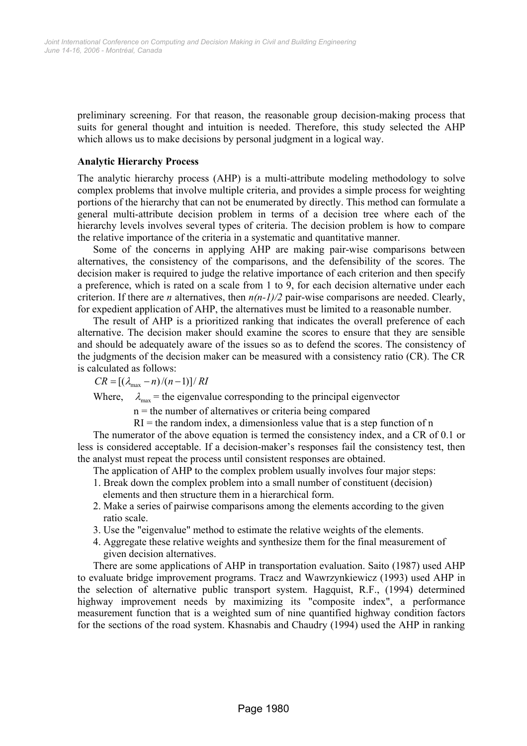preliminary screening. For that reason, the reasonable group decision-making process that suits for general thought and intuition is needed. Therefore, this study selected the AHP which allows us to make decisions by personal judgment in a logical way.

#### **Analytic Hierarchy Process**

The analytic hierarchy process (AHP) is a multi-attribute modeling methodology to solve complex problems that involve multiple criteria, and provides a simple process for weighting portions of the hierarchy that can not be enumerated by directly. This method can formulate a general multi-attribute decision problem in terms of a decision tree where each of the hierarchy levels involves several types of criteria. The decision problem is how to compare the relative importance of the criteria in a systematic and quantitative manner.

Some of the concerns in applying AHP are making pair-wise comparisons between alternatives, the consistency of the comparisons, and the defensibility of the scores. The decision maker is required to judge the relative importance of each criterion and then specify a preference, which is rated on a scale from 1 to 9, for each decision alternative under each criterion. If there are *n* alternatives, then  $n(n-1)/2$  pair-wise comparisons are needed. Clearly, for expedient application of AHP, the alternatives must be limited to a reasonable number.

The result of AHP is a prioritized ranking that indicates the overall preference of each alternative. The decision maker should examine the scores to ensure that they are sensible and should be adequately aware of the issues so as to defend the scores. The consistency of the judgments of the decision maker can be measured with a consistency ratio (CR). The CR is calculated as follows:

$$
CR = [(\lambda_{\text{max}} - n)/(n-1)]/RI
$$

Where,  $\lambda_{\text{max}}$  = the eigenvalue corresponding to the principal eigenvector

n = the number of alternatives or criteria being compared

 $RI =$  the random index, a dimensionless value that is a step function of n

The numerator of the above equation is termed the consistency index, and a CR of 0.1 or less is considered acceptable. If a decision-maker's responses fail the consistency test, then the analyst must repeat the process until consistent responses are obtained.

The application of AHP to the complex problem usually involves four major steps:

- 1. Break down the complex problem into a small number of constituent (decision) elements and then structure them in a hierarchical form.
- 2. Make a series of pairwise comparisons among the elements according to the given ratio scale.
- 3. Use the "eigenvalue" method to estimate the relative weights of the elements.
- 4. Aggregate these relative weights and synthesize them for the final measurement of given decision alternatives.

There are some applications of AHP in transportation evaluation. Saito (1987) used AHP to evaluate bridge improvement programs. Tracz and Wawrzynkiewicz (1993) used AHP in the selection of alternative public transport system. Hagquist, R.F., (1994) determined highway improvement needs by maximizing its "composite index", a performance measurement function that is a weighted sum of nine quantified highway condition factors for the sections of the road system. Khasnabis and Chaudry (1994) used the AHP in ranking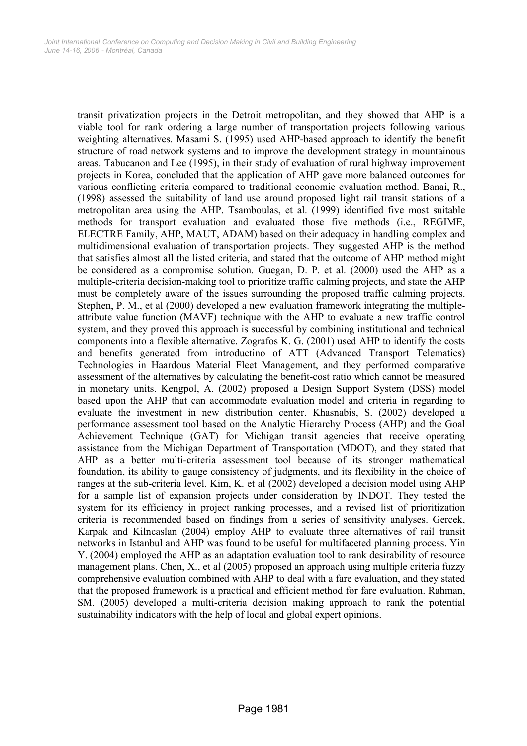transit privatization projects in the Detroit metropolitan, and they showed that AHP is a viable tool for rank ordering a large number of transportation projects following various weighting alternatives. Masami S. (1995) used AHP-based approach to identify the benefit structure of road network systems and to improve the development strategy in mountainous areas. Tabucanon and Lee (1995), in their study of evaluation of rural highway improvement projects in Korea, concluded that the application of AHP gave more balanced outcomes for various conflicting criteria compared to traditional economic evaluation method. Banai, R., (1998) assessed the suitability of land use around proposed light rail transit stations of a metropolitan area using the AHP. Tsamboulas, et al. (1999) identified five most suitable methods for transport evaluation and evaluated those five methods (i.e., REGIME, ELECTRE Family, AHP, MAUT, ADAM) based on their adequacy in handling complex and multidimensional evaluation of transportation projects. They suggested AHP is the method that satisfies almost all the listed criteria, and stated that the outcome of AHP method might be considered as a compromise solution. Guegan, D. P. et al. (2000) used the AHP as a multiple-criteria decision-making tool to prioritize traffic calming projects, and state the AHP must be completely aware of the issues surrounding the proposed traffic calming projects. Stephen, P. M., et al (2000) developed a new evaluation framework integrating the multipleattribute value function (MAVF) technique with the AHP to evaluate a new traffic control system, and they proved this approach is successful by combining institutional and technical components into a flexible alternative. Zografos K. G. (2001) used AHP to identify the costs and benefits generated from introductino of ATT (Advanced Transport Telematics) Technologies in Haardous Material Fleet Management, and they performed comparative assessment of the alternatives by calculating the benefit-cost ratio which cannot be measured in monetary units. Kengpol, A. (2002) proposed a Design Support System (DSS) model based upon the AHP that can accommodate evaluation model and criteria in regarding to evaluate the investment in new distribution center. Khasnabis, S. (2002) developed a performance assessment tool based on the Analytic Hierarchy Process (AHP) and the Goal Achievement Technique (GAT) for Michigan transit agencies that receive operating assistance from the Michigan Department of Transportation (MDOT), and they stated that AHP as a better multi-criteria assessment tool because of its stronger mathematical foundation, its ability to gauge consistency of judgments, and its flexibility in the choice of ranges at the sub-criteria level. Kim, K. et al (2002) developed a decision model using AHP for a sample list of expansion projects under consideration by INDOT. They tested the system for its efficiency in project ranking processes, and a revised list of prioritization criteria is recommended based on findings from a series of sensitivity analyses. Gercek, Karpak and Kilncaslan (2004) employ AHP to evaluate three alternatives of rail transit networks in Istanbul and AHP was found to be useful for multifaceted planning process. Yin Y. (2004) employed the AHP as an adaptation evaluation tool to rank desirability of resource management plans. Chen, X., et al (2005) proposed an approach using multiple criteria fuzzy comprehensive evaluation combined with AHP to deal with a fare evaluation, and they stated that the proposed framework is a practical and efficient method for fare evaluation. Rahman, SM. (2005) developed a multi-criteria decision making approach to rank the potential sustainability indicators with the help of local and global expert opinions.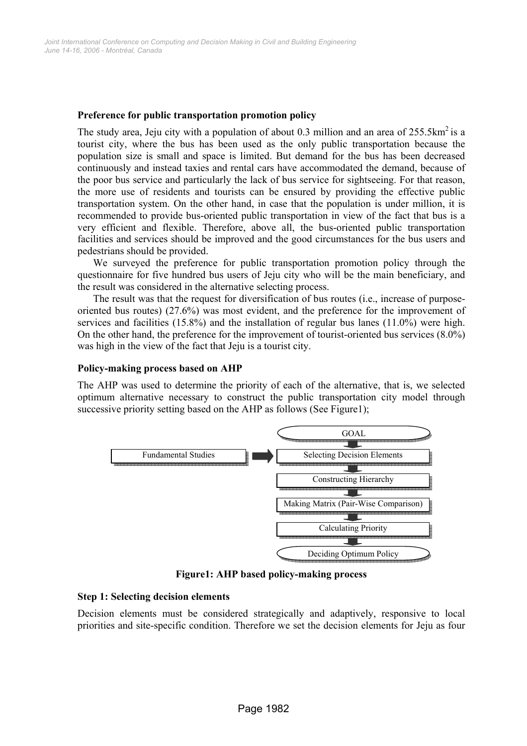## **Preference for public transportation promotion policy**

The study area, Jeju city with a population of about 0.3 million and an area of  $255.5 \text{km}^2$  is a tourist city, where the bus has been used as the only public transportation because the population size is small and space is limited. But demand for the bus has been decreased continuously and instead taxies and rental cars have accommodated the demand, because of the poor bus service and particularly the lack of bus service for sightseeing. For that reason, the more use of residents and tourists can be ensured by providing the effective public transportation system. On the other hand, in case that the population is under million, it is recommended to provide bus-oriented public transportation in view of the fact that bus is a very efficient and flexible. Therefore, above all, the bus-oriented public transportation facilities and services should be improved and the good circumstances for the bus users and pedestrians should be provided.

We surveyed the preference for public transportation promotion policy through the questionnaire for five hundred bus users of Jeju city who will be the main beneficiary, and the result was considered in the alternative selecting process.

The result was that the request for diversification of bus routes (i.e., increase of purposeoriented bus routes) (27.6%) was most evident, and the preference for the improvement of services and facilities (15.8%) and the installation of regular bus lanes (11.0%) were high. On the other hand, the preference for the improvement of tourist-oriented bus services (8.0%) was high in the view of the fact that Jeju is a tourist city.

#### **Policy-making process based on AHP**

The AHP was used to determine the priority of each of the alternative, that is, we selected optimum alternative necessary to construct the public transportation city model through successive priority setting based on the AHP as follows (See Figure1);



**Figure1: AHP based policy-making process** 

#### **Step 1: Selecting decision elements**

Decision elements must be considered strategically and adaptively, responsive to local priorities and site-specific condition. Therefore we set the decision elements for Jeju as four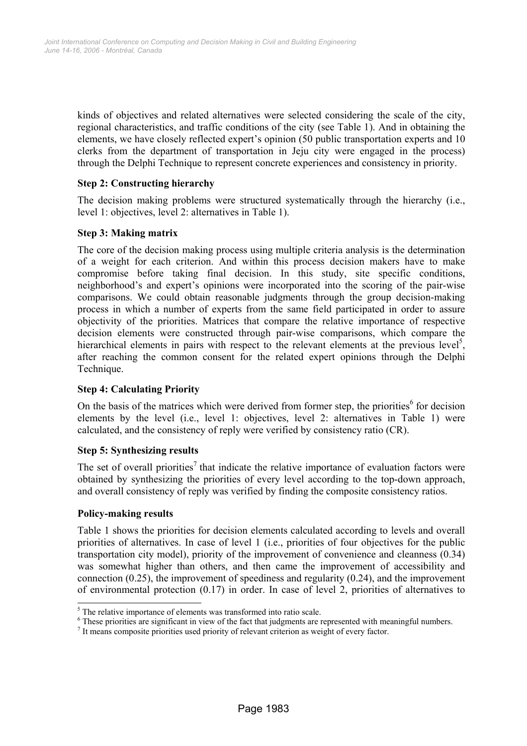kinds of objectives and related alternatives were selected considering the scale of the city, regional characteristics, and traffic conditions of the city (see Table 1). And in obtaining the elements, we have closely reflected expert's opinion (50 public transportation experts and 10 clerks from the department of transportation in Jeju city were engaged in the process) through the Delphi Technique to represent concrete experiences and consistency in priority.

## **Step 2: Constructing hierarchy**

The decision making problems were structured systematically through the hierarchy (i.e., level 1: objectives, level 2: alternatives in Table 1).

## **Step 3: Making matrix**

The core of the decision making process using multiple criteria analysis is the determination of a weight for each criterion. And within this process decision makers have to make compromise before taking final decision. In this study, site specific conditions, neighborhood's and expert's opinions were incorporated into the scoring of the pair-wise comparisons. We could obtain reasonable judgments through the group decision-making process in which a number of experts from the same field participated in order to assure objectivity of the priorities. Matrices that compare the relative importance of respective decision elements were constructed through pair-wise comparisons, which compare the hierarchical elements in pairs with respect to the relevant elements at the previous level<sup>5</sup>, after reaching the common consent for the related expert opinions through the Delphi Technique.

## **Step 4: Calculating Priority**

On the basis of the matrices which were derived from former step, the priorities<sup>6</sup> for decision elements by the level (i.e., level 1: objectives, level 2: alternatives in Table 1) were calculated, and the consistency of reply were verified by consistency ratio (CR).

## **Step 5: Synthesizing results**

The set of overall priorities<sup>7</sup> that indicate the relative importance of evaluation factors were obtained by synthesizing the priorities of every level according to the top-down approach, and overall consistency of reply was verified by finding the composite consistency ratios.

## **Policy-making results**

l

Table 1 shows the priorities for decision elements calculated according to levels and overall priorities of alternatives. In case of level 1 (i.e., priorities of four objectives for the public transportation city model), priority of the improvement of convenience and cleanness (0.34) was somewhat higher than others, and then came the improvement of accessibility and connection (0.25), the improvement of speediness and regularity (0.24), and the improvement of environmental protection  $(0.17)$  in order. In case of level 2, priorities of alternatives to

<sup>&</sup>lt;sup>5</sup> The relative importance of elements was transformed into ratio scale.

 $6$  These priorities are significant in view of the fact that judgments are represented with meaningful numbers.

<sup>&</sup>lt;sup>7</sup> It means composite priorities used priority of relevant criterion as weight of every factor.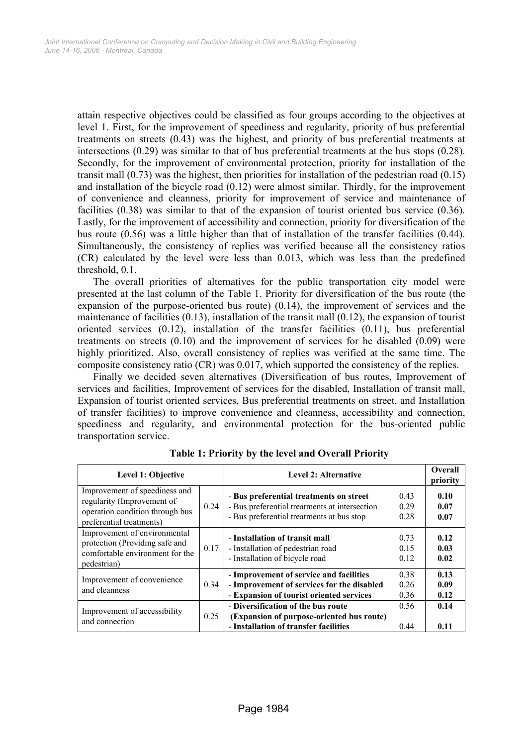attain respective objectives could be classified as four groups according to the objectives at level 1. First, for the improvement of speediness and regularity, priority of bus preferential treatments on streets (0.43) was the highest, and priority of bus preferential treatments at intersections (0.29) was similar to that of bus preferential treatments at the bus stops (0.28). Secondly, for the improvement of environmental protection, priority for installation of the transit mall (0.73) was the highest, then priorities for installation of the pedestrian road (0.15) and installation of the bicycle road (0.12) were almost similar. Thirdly, for the improvement of convenience and cleanness, priority for improvement of service and maintenance of facilities (0.38) was similar to that of the expansion of tourist oriented bus service (0.36). Lastly, for the improvement of accessibility and connection, priority for diversification of the bus route (0.56) was a little higher than that of installation of the transfer facilities (0.44). Simultaneously, the consistency of replies was verified because all the consistency ratios (CR) calculated by the level were less than 0.013, which was less than the predefined threshold, 0.1.

The overall priorities of alternatives for the public transportation city model were presented at the last column of the Table 1. Priority for diversification of the bus route (the expansion of the purpose-oriented bus route) (0.14), the improvement of services and the maintenance of facilities  $(0.13)$ , installation of the transit mall  $(0.12)$ , the expansion of tourist oriented services (0.12), installation of the transfer facilities (0.11), bus preferential treatments on streets (0.10) and the improvement of services for he disabled (0.09) were highly prioritized. Also, overall consistency of replies was verified at the same time. The composite consistency ratio (CR) was 0.017, which supported the consistency of the replies.

Finally we decided seven alternatives (Diversification of bus routes, Improvement of services and facilities, Improvement of services for the disabled, Installation of transit mall, Expansion of tourist oriented services, Bus preferential treatments on street, and Installation of transfer facilities) to improve convenience and cleanness, accessibility and connection, speediness and regularity, and environmental protection for the bus-oriented public transportation service.

| Level 1: Objective                                                                                                         |      | <b>Level 2: Alternative</b>                                                                                                           |                      | <b>Overall</b><br>priority |
|----------------------------------------------------------------------------------------------------------------------------|------|---------------------------------------------------------------------------------------------------------------------------------------|----------------------|----------------------------|
| Improvement of speediness and<br>regularity (Improvement of<br>operation condition through bus<br>preferential treatments) | 0.24 | - Bus preferential treatments on street<br>- Bus preferential treatments at intersection<br>- Bus preferential treatments at bus stop | 0.43<br>0.29<br>0.28 | 0.10<br>0.07<br>0.07       |
| Improvement of environmental<br>protection (Providing safe and<br>comfortable environment for the<br>pedestrian)           | 0.17 | - Installation of transit mall<br>- Installation of pedestrian road<br>- Installation of bicycle road                                 | 0.73<br>0.15<br>0.12 | 0.12<br>0.03<br>0.02       |
| Improvement of convenience<br>and cleanness                                                                                | 0.34 | - Improvement of service and facilities<br>- Improvement of services for the disabled<br>- Expansion of tourist oriented services     | 0.38<br>0.26<br>0.36 | 0.13<br>0.09<br>0.12       |
| Improvement of accessibility<br>and connection                                                                             | 0.25 | - Diversification of the bus route<br>(Expansion of purpose-oriented bus route)<br>- Installation of transfer facilities              | 0.56<br>0.44         | 0.14<br>0.11               |

**Table 1: Priority by the level and Overall Priority**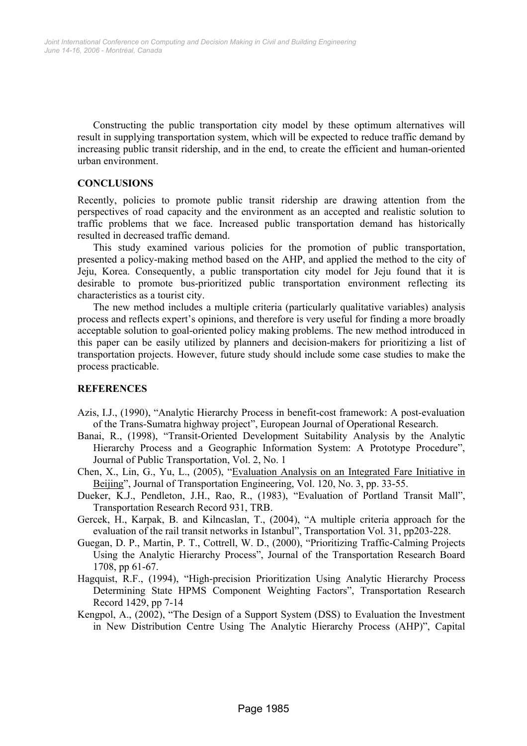Constructing the public transportation city model by these optimum alternatives will result in supplying transportation system, which will be expected to reduce traffic demand by increasing public transit ridership, and in the end, to create the efficient and human-oriented urban environment.

#### **CONCLUSIONS**

Recently, policies to promote public transit ridership are drawing attention from the perspectives of road capacity and the environment as an accepted and realistic solution to traffic problems that we face. Increased public transportation demand has historically resulted in decreased traffic demand.

This study examined various policies for the promotion of public transportation, presented a policy-making method based on the AHP, and applied the method to the city of Jeju, Korea. Consequently, a public transportation city model for Jeju found that it is desirable to promote bus-prioritized public transportation environment reflecting its characteristics as a tourist city.

The new method includes a multiple criteria (particularly qualitative variables) analysis process and reflects expert's opinions, and therefore is very useful for finding a more broadly acceptable solution to goal-oriented policy making problems. The new method introduced in this paper can be easily utilized by planners and decision-makers for prioritizing a list of transportation projects. However, future study should include some case studies to make the process practicable.

## **REFERENCES**

- Azis, I.J., (1990), "Analytic Hierarchy Process in benefit-cost framework: A post-evaluation of the Trans-Sumatra highway project", European Journal of Operational Research.
- Banai, R., (1998), "Transit-Oriented Development Suitability Analysis by the Analytic Hierarchy Process and a Geographic Information System: A Prototype Procedure", Journal of Public Transportation, Vol. 2, No. 1
- Chen, X., Lin, G., Yu, L., (2005), "Evaluation Analysis on an Integrated Fare Initiative in Beijing", Journal of Transportation Engineering, Vol. 120, No. 3, pp. 33-55.
- Dueker, K.J., Pendleton, J.H., Rao, R., (1983), "Evaluation of Portland Transit Mall", Transportation Research Record 931, TRB.
- Gercek, H., Karpak, B. and Kilncaslan, T., (2004), "A multiple criteria approach for the evaluation of the rail transit networks in Istanbul", Transportation Vol. 31, pp203-228.
- Guegan, D. P., Martin, P. T., Cottrell, W. D., (2000), "Prioritizing Traffic-Calming Projects Using the Analytic Hierarchy Process", Journal of the Transportation Research Board 1708, pp 61-67.
- Hagquist, R.F., (1994), "High-precision Prioritization Using Analytic Hierarchy Process Determining State HPMS Component Weighting Factors", Transportation Research Record 1429, pp 7-14
- Kengpol, A., (2002), "The Design of a Support System (DSS) to Evaluation the Investment in New Distribution Centre Using The Analytic Hierarchy Process (AHP)", Capital